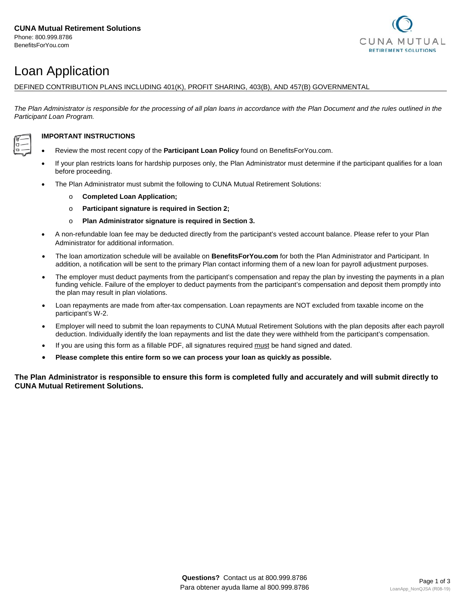

# Loan Application

DEFINED CONTRIBUTION PLANS INCLUDING 401(K), PROFIT SHARING, 403(B), AND 457(B) GOVERNMENTAL

The Plan Administrator is responsible for the processing of all plan loans in accordance with the Plan Document and the rules outlined in the *Participant Loan Program.*



## **IMPORTANT INSTRUCTIONS**

- Review the most recent copy of the **Participant Loan Policy** found on BenefitsForYou.com.
- If your plan restricts loans for hardship purposes only, the Plan Administrator must determine if the participant qualifies for a loan before proceeding.
- The Plan Administrator must submit the following to CUNA Mutual Retirement Solutions:
	- o **Completed Loan Application;**
	- o **Participant signature is required in Section 2;**
	- o **Plan Administrator signature is required in Section 3.**
- A non-refundable loan fee may be deducted directly from the participant's vested account balance. Please refer to your Plan Administrator for additional information.
- The loan amortization schedule will be available on **BenefitsForYou.com** for both the Plan Administrator and Participant. In addition, a notification will be sent to the primary Plan contact informing them of a new loan for payroll adjustment purposes.
- The employer must deduct payments from the participant's compensation and repay the plan by investing the payments in a plan funding vehicle. Failure of the employer to deduct payments from the participant's compensation and deposit them promptly into the plan may result in plan violations.
- Loan repayments are made from after-tax compensation. Loan repayments are NOT excluded from taxable income on the participant's W-2.
- Employer will need to submit the loan repayments to CUNA Mutual Retirement Solutions with the plan deposits after each payroll deduction. Individually identify the loan repayments and list the date they were withheld from the participant's compensation.
- If you are using this form as a fillable PDF, all signatures required must be hand signed and dated.
- **Please complete this entire form so we can process your loan as quickly as possible.**

**The Plan Administrator is responsible to ensure this form is completed fully and accurately and will submit directly to CUNA Mutual Retirement Solutions.**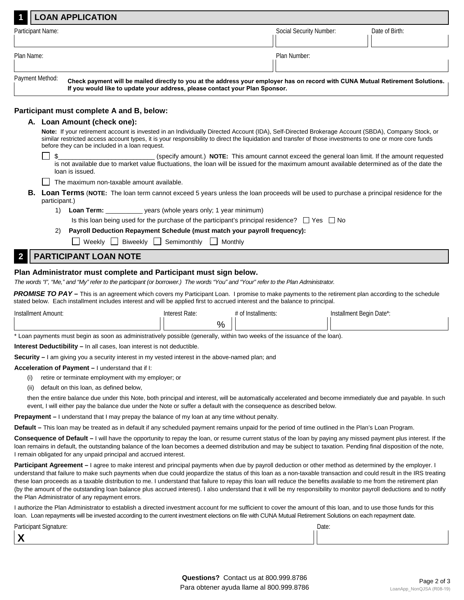|                                                                                                                                                                                                                                  | <b>LOAN APPLICATION</b> |                         |                |  |
|----------------------------------------------------------------------------------------------------------------------------------------------------------------------------------------------------------------------------------|-------------------------|-------------------------|----------------|--|
| Participant Name:                                                                                                                                                                                                                |                         | Social Security Number: | Date of Birth: |  |
|                                                                                                                                                                                                                                  |                         |                         |                |  |
| Plan Name:                                                                                                                                                                                                                       |                         | Plan Number:            |                |  |
|                                                                                                                                                                                                                                  |                         |                         |                |  |
| Payment Method:<br>Check payment will be mailed directly to you at the address your employer has on record with CUNA Mutual Retirement Solutions.<br>If you would like to update your address, please contact your Plan Sponsor. |                         |                         |                |  |

## **Participant must complete A and B, below:**

### **A. Loan Amount (check one):**

**Note:** If your retirement account is invested in an Individually Directed Account (IDA), Self-Directed Brokerage Account (SBDA), Company Stock, or similar restricted access account types, it is your responsibility to direct the liquidation and transfer of those investments to one or more core funds before they can be included in a loan request.

\$\_\_\_\_\_\_\_\_\_\_\_\_\_\_\_\_\_\_\_\_\_\_\_\_\_\_\_ (specify amount.) **NOTE:** This amount cannot exceed the general loan limit. If the amount requested is not available due to market value fluctuations, the loan will be issued for the maximum amount available determined as of the date the loan is issued.

- $\Box$  The maximum non-taxable amount available.
- **B. Loan Terms** (**NOTE:** The loan term cannot exceed 5 years unless the loan proceeds will be used to purchase a principal residence for the participant.)
	- 1) **Loan Term:** years (whole years only; 1 year minimum)
		- Is this loan being used for the purchase of the participant's principal residence?  $\Box$  Yes  $\Box$  No
	- 2) **Payroll Deduction Repayment Schedule (must match your payroll frequency):**
		- $\Box$  Weekly  $\Box$  Biweekly  $\Box$  Semimonthly  $\Box$  Monthly

## **2 PARTICIPANT LOAN NOTE**

## **Plan Administrator must complete and Participant must sign below.**

*The words "I", "Me," and "My" refer to the participant (or borrower.) The words "You" and "Your" refer to the Plan Administrator.*

**PROMISE TO PAY** – This is an agreement which covers my Participant Loan. I promise to make payments to the retirement plan according to the schedule stated below. Each installment includes interest and will be applied first to accrued interest and the balance to principal.

| Installment Amount:                                                                                                        | Interest Rate: | t of Installments: | Installment Begin Date*: |  |  |  |
|----------------------------------------------------------------------------------------------------------------------------|----------------|--------------------|--------------------------|--|--|--|
|                                                                                                                            | $\%$           |                    |                          |  |  |  |
| * Loan payments must begin as soon as administratively possible (generally, within two weeks of the issuance of the loan). |                |                    |                          |  |  |  |

**Interest Deductibility –** In all cases, loan interest is not deductible.

**Security –** I am giving you a security interest in my vested interest in the above-named plan; and

#### **Acceleration of Payment –** I understand that if I:

- (i) retire or terminate employment with my employer; or
- (ii) default on this loan, as defined below,

then the entire balance due under this Note, both principal and interest, will be automatically accelerated and become immediately due and payable. In such event, I will either pay the balance due under the Note or suffer a default with the consequence as described below.

**Prepayment –** I understand that I may prepay the balance of my loan at any time without penalty.

**Default –** This loan may be treated as in default if any scheduled payment remains unpaid for the period of time outlined in the Plan's Loan Program.

**Consequence of Default –** I will have the opportunity to repay the loan, or resume current status of the loan by paying any missed payment plus interest. If the loan remains in default, the outstanding balance of the loan becomes a deemed distribution and may be subject to taxation. Pending final disposition of the note, I remain obligated for any unpaid principal and accrued interest.

**Participant Agreement –** I agree to make interest and principal payments when due by payroll deduction or other method as determined by the employer. I understand that failure to make such payments when due could jeopardize the status of this loan as a non-taxable transaction and could result in the IRS treating these loan proceeds as a taxable distribution to me. I understand that failure to repay this loan will reduce the benefits available to me from the retirement plan (by the amount of the outstanding loan balance plus accrued interest). I also understand that it will be my responsibility to monitor payroll deductions and to notify the Plan Administrator of any repayment errors.

I authorize the Plan Administrator to establish a directed investment account for me sufficient to cover the amount of this loan, and to use those funds for this loan. Loan repayments will be invested according to the current investment elections on file with CUNA Mutual Retirement Solutions on each repayment date.

| Participant Signature: | Date: |
|------------------------|-------|
|                        |       |

 **X**